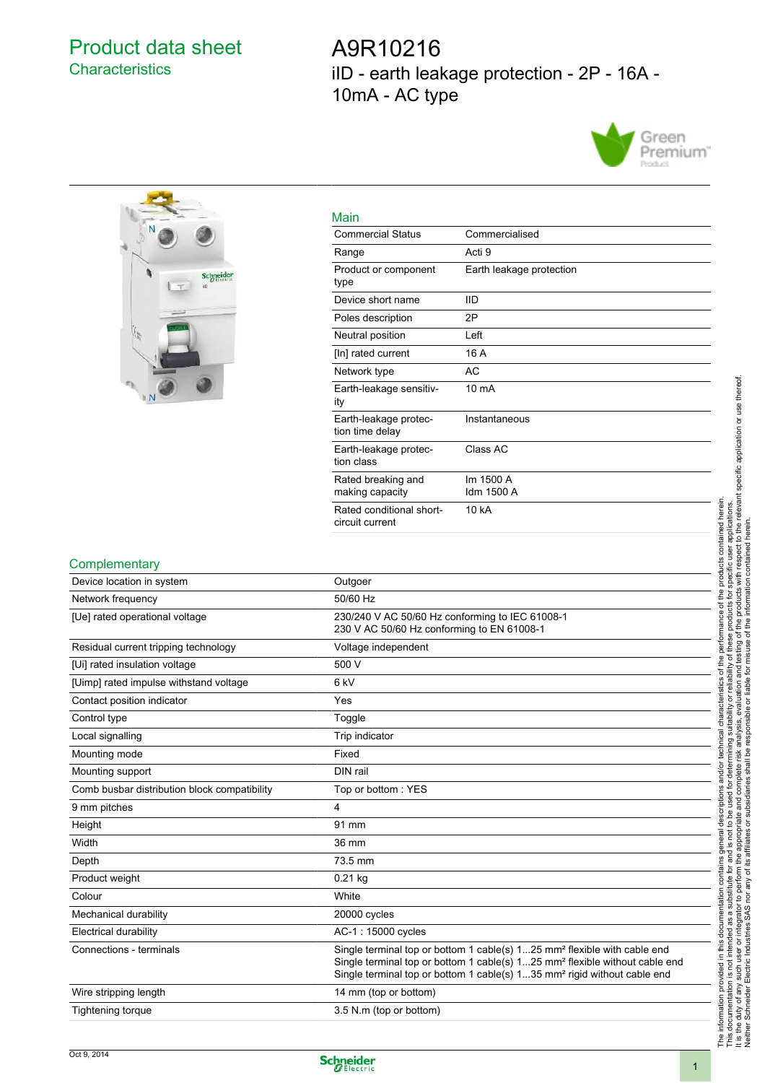## Product data sheet **Characteristics**

A9R10216 iID - earth leakage protection - 2P - 16A - 10mA - AC type





| Main                                        |                          |
|---------------------------------------------|--------------------------|
| <b>Commercial Status</b>                    | Commercialised           |
| Range                                       | Acti 9                   |
| Product or component<br>type                | Earth leakage protection |
| Device short name                           | <b>IID</b>               |
| Poles description                           | 2P                       |
| Neutral position                            | Left                     |
| [In] rated current                          | 16 A                     |
| Network type                                | AC                       |
| Earth-leakage sensitiv-<br>ity              | $10 \text{ mA}$          |
| Earth-leakage protec-<br>tion time delay    | Instantaneous            |
| Earth-leakage protec-<br>tion class         | Class AC                 |
| Rated breaking and<br>making capacity       | Im 1500 A<br>Idm 1500 A  |
| Rated conditional short-<br>circuit current | 10 kA                    |

## **Complementary**

| Device location in system                    | Outgoer                                                                                                                                                                                                                                                                 |
|----------------------------------------------|-------------------------------------------------------------------------------------------------------------------------------------------------------------------------------------------------------------------------------------------------------------------------|
| Network frequency                            | 50/60 Hz                                                                                                                                                                                                                                                                |
| [Ue] rated operational voltage               | 230/240 V AC 50/60 Hz conforming to IEC 61008-1<br>230 V AC 50/60 Hz conforming to EN 61008-1                                                                                                                                                                           |
| Residual current tripping technology         | Voltage independent                                                                                                                                                                                                                                                     |
| [Ui] rated insulation voltage                | 500 V                                                                                                                                                                                                                                                                   |
| [Uimp] rated impulse withstand voltage       | 6 <sub>kV</sub>                                                                                                                                                                                                                                                         |
| Contact position indicator                   | Yes                                                                                                                                                                                                                                                                     |
| Control type                                 | Toggle                                                                                                                                                                                                                                                                  |
| Local signalling                             | Trip indicator                                                                                                                                                                                                                                                          |
| Mounting mode                                | Fixed                                                                                                                                                                                                                                                                   |
| Mounting support                             | DIN rail                                                                                                                                                                                                                                                                |
| Comb busbar distribution block compatibility | Top or bottom: YES                                                                                                                                                                                                                                                      |
| 9 mm pitches                                 | 4                                                                                                                                                                                                                                                                       |
| Height                                       | 91 mm                                                                                                                                                                                                                                                                   |
| Width                                        | 36 mm                                                                                                                                                                                                                                                                   |
| Depth                                        | 73.5 mm                                                                                                                                                                                                                                                                 |
| Product weight                               | $0.21$ kg                                                                                                                                                                                                                                                               |
| Colour                                       | White                                                                                                                                                                                                                                                                   |
| Mechanical durability                        | 20000 cycles                                                                                                                                                                                                                                                            |
| Electrical durability                        | AC-1: 15000 cycles                                                                                                                                                                                                                                                      |
| Connections - terminals                      | Single terminal top or bottom 1 cable(s) 125 mm <sup>2</sup> flexible with cable end<br>Single terminal top or bottom 1 cable(s) 125 mm <sup>2</sup> flexible without cable end<br>Single terminal top or bottom 1 cable(s) 135 mm <sup>2</sup> rigid without cable end |
| Wire stripping length                        | 14 mm (top or bottom)                                                                                                                                                                                                                                                   |
| <b>Tightening torque</b>                     | 3.5 N.m (top or bottom)                                                                                                                                                                                                                                                 |